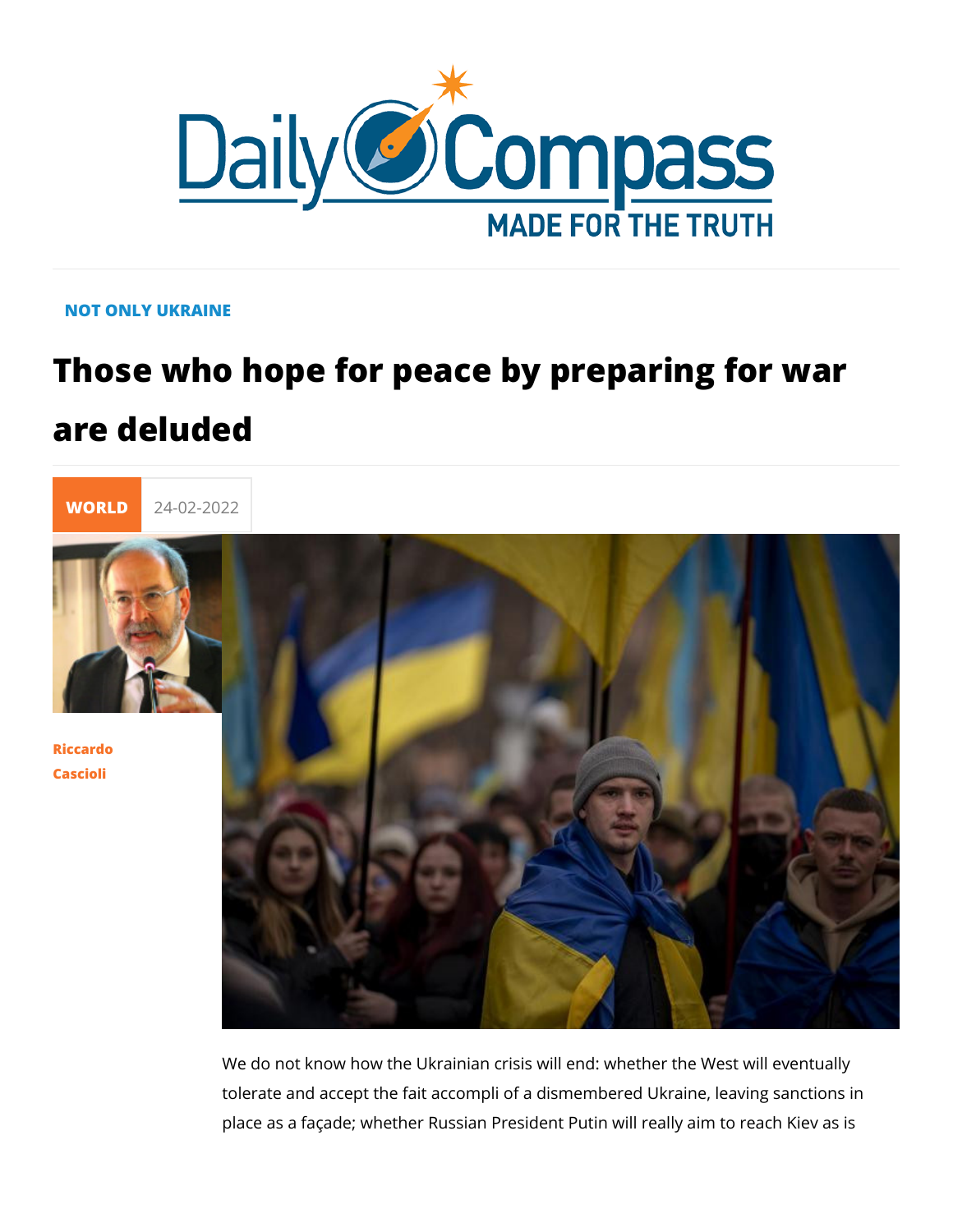## NOT ONLY UKRAINE

## Those who hope for peace by preparing are deluded



[Riccar](/en/riccardo-cascioli)do [Casci](/en/riccardo-cascioli)oli

> We do not know how the Ukrainian crisis will end: whether the tolerate and accept the fait accompli of a dismembered Ukrain place as a façade; whether Russian President Putin will really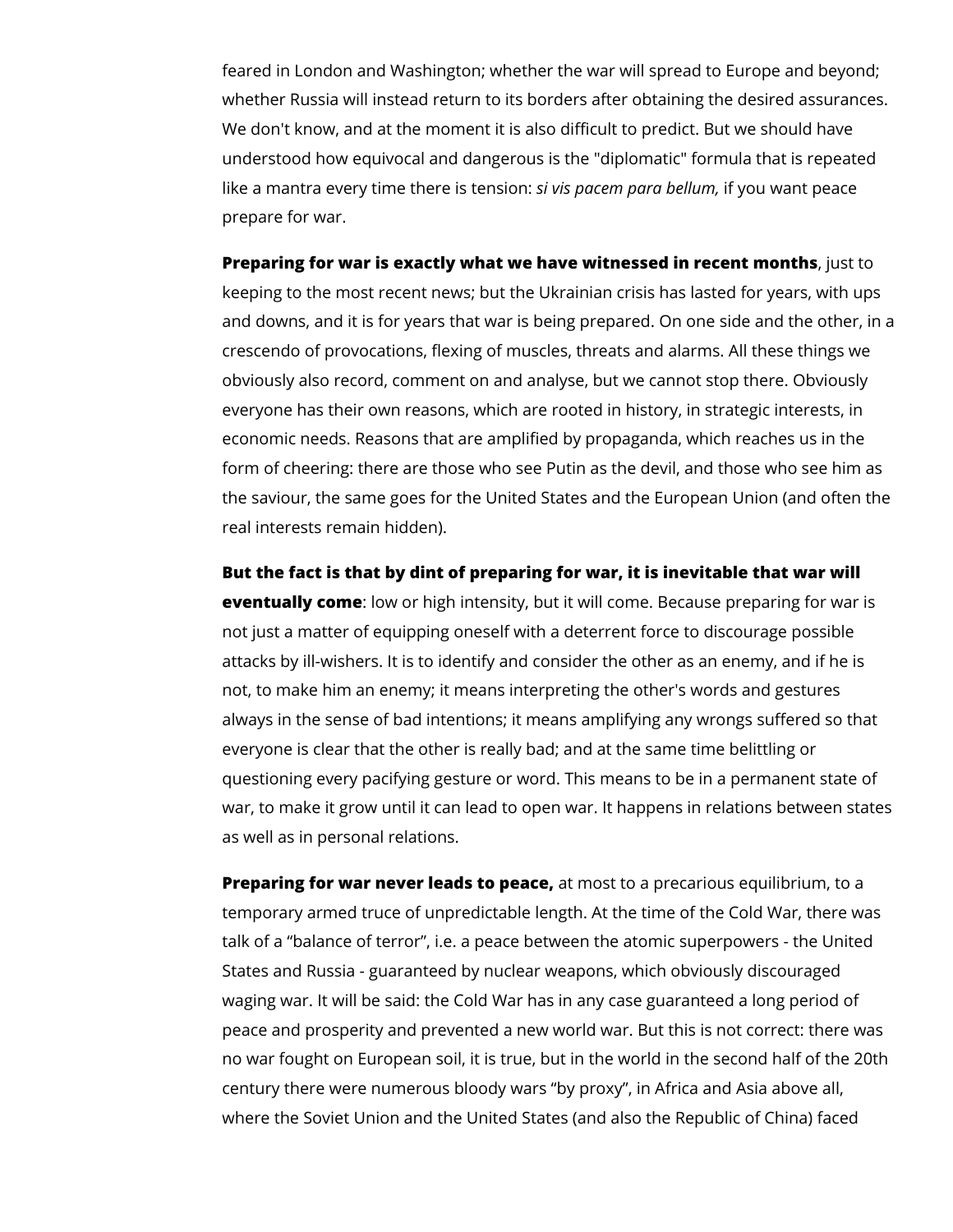feared in London and Washington; whether the war will spread to Europe and beyond; whether Russia will instead return to its borders after obtaining the desired assurances. We don't know, and at the moment it is also difficult to predict. But we should have understood how equivocal and dangerous is the "diplomatic" formula that is repeated like a mantra every time there is tension: *si vis pacem para bellum,* if you want peace prepare for war.

**Preparing for war is exactly what we have witnessed in recent months**, just to keeping to the most recent news; but the Ukrainian crisis has lasted for years, with ups and downs, and it is for years that war is being prepared. On one side and the other, in a crescendo of provocations, flexing of muscles, threats and alarms. All these things we obviously also record, comment on and analyse, but we cannot stop there. Obviously everyone has their own reasons, which are rooted in history, in strategic interests, in economic needs. Reasons that are amplified by propaganda, which reaches us in the form of cheering: there are those who see Putin as the devil, and those who see him as the saviour, the same goes for the United States and the European Union (and often the real interests remain hidden).

**But the fact is that by dint of preparing for war, it is inevitable that war will eventually come**: low or high intensity, but it will come. Because preparing for war is not just a matter of equipping oneself with a deterrent force to discourage possible attacks by ill-wishers. It is to identify and consider the other as an enemy, and if he is not, to make him an enemy; it means interpreting the other's words and gestures always in the sense of bad intentions; it means amplifying any wrongs suffered so that everyone is clear that the other is really bad; and at the same time belittling or questioning every pacifying gesture or word. This means to be in a permanent state of war, to make it grow until it can lead to open war. It happens in relations between states as well as in personal relations.

**Preparing for war never leads to peace,** at most to a precarious equilibrium, to a temporary armed truce of unpredictable length. At the time of the Cold War, there was talk of a "balance of terror", i.e. a peace between the atomic superpowers - the United States and Russia - guaranteed by nuclear weapons, which obviously discouraged waging war. It will be said: the Cold War has in any case guaranteed a long period of peace and prosperity and prevented a new world war. But this is not correct: there was no war fought on European soil, it is true, but in the world in the second half of the 20th century there were numerous bloody wars "by proxy", in Africa and Asia above all, where the Soviet Union and the United States (and also the Republic of China) faced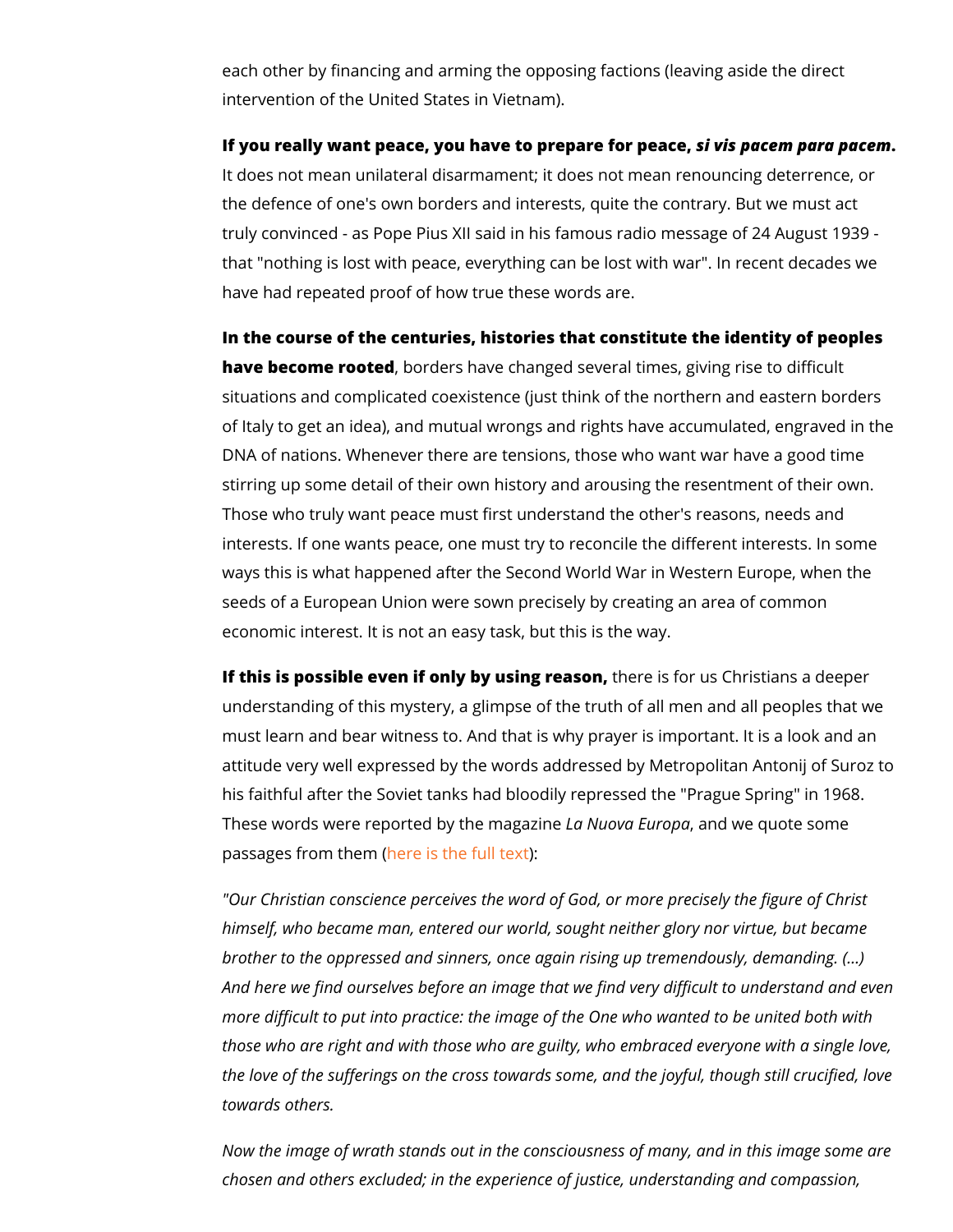each other by financing and arming the opposing factions (leav intervention of the United States in Vietnam).

If you really want peace, you have to prespiavies fop acpeema opeara pac It does not mean unilateral disarmament; it does not mean ren the defence of one's own borders and interests, quite the cont truly convinced - as Pope Pius XII said in his famous radio me that "nothing is lost with peace, everything can be lost with w have had repeated proof of how true these words are.

In the course of the centuries, histories that constitute the identity have become roobedders have changed several times, giving ri situations and complicated coexistence (just think of the north of Italy to get an idea), and mutual wrongs and rights have ac DNA of nations. Whenever there are tensions, those who want stirring up some detail of their own history and arousing the r Those who truly want peace must first understand the other's interests. If one wants peace, one must try to reconcile the di ways this is what happened after the Second World War in West seeds of a European Union were sown precisely by creating an economic interest. It is not an easy task, but this is the way.

If this is possible even if only by **tuhseineg inse alos pou**,s Christians a d understanding of this mystery, a glimpse of the truth of all me must learn and bear witness to. And that is why prayer is impo attitude very well expressed by the words addressed by Metrop his faithful after the Soviet tanks had bloodily repressed the " These words were reported by Ltah Nu uno avanga Ein an ong dawe quote some passages from htehreemis ( the full text

"Our Christian conscience perceives the word of God, or more himself, who became man, entered our world, sought neither g brother to the oppressed and sinners, once again rising up tre And here we find ourselves before an image that we find very more difficult to put into practice: the image of the One who w those who are right and with those who are guilty, who embrac the love of the sufferings on the cross towards some, and the towards others.

Now the image of wrath stands out in the consciousness of ma chosen and others excluded; in the experience of justice, under